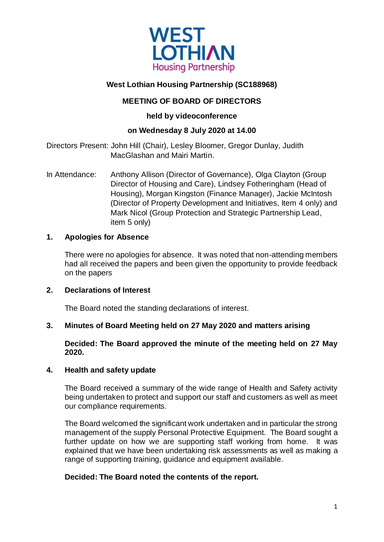

# **West Lothian Housing Partnership (SC188968)**

## **MEETING OF BOARD OF DIRECTORS**

### **held by videoconference**

## **on Wednesday 8 July 2020 at 14.00**

Directors Present: John Hill (Chair), Lesley Bloomer, Gregor Dunlay, Judith MacGlashan and Mairi Martin.

In Attendance: Anthony Allison (Director of Governance), Olga Clayton (Group Director of Housing and Care), Lindsey Fotheringham (Head of Housing), Morgan Kingston (Finance Manager), Jackie McIntosh (Director of Property Development and Initiatives, Item 4 only) and Mark Nicol (Group Protection and Strategic Partnership Lead, item 5 only)

### **1. Apologies for Absence**

There were no apologies for absence. It was noted that non-attending members had all received the papers and been given the opportunity to provide feedback on the papers

### **2. Declarations of Interest**

The Board noted the standing declarations of interest.

### **3. Minutes of Board Meeting held on 27 May 2020 and matters arising**

### **Decided: The Board approved the minute of the meeting held on 27 May 2020.**

### **4. Health and safety update**

The Board received a summary of the wide range of Health and Safety activity being undertaken to protect and support our staff and customers as well as meet our compliance requirements.

The Board welcomed the significant work undertaken and in particular the strong management of the supply Personal Protective Equipment. The Board sought a further update on how we are supporting staff working from home. It was explained that we have been undertaking risk assessments as well as making a range of supporting training, guidance and equipment available.

### **Decided: The Board noted the contents of the report.**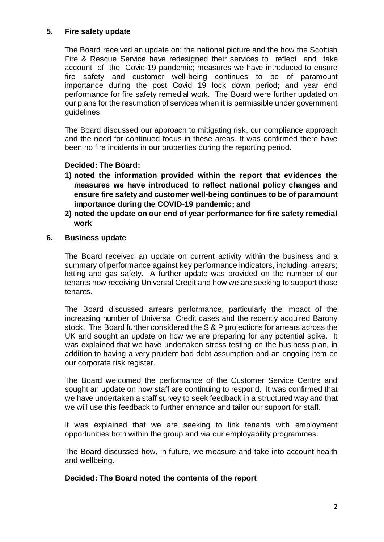### **5. Fire safety update**

The Board received an update on: the national picture and the how the Scottish Fire & Rescue Service have redesigned their services to reflect and take account of the Covid-19 pandemic; measures we have introduced to ensure fire safety and customer well-being continues to be of paramount importance during the post Covid 19 lock down period; and year end performance for fire safety remedial work. The Board were further updated on our plans for the resumption of services when it is permissible under government guidelines.

The Board discussed our approach to mitigating risk, our compliance approach and the need for continued focus in these areas. It was confirmed there have been no fire incidents in our properties during the reporting period.

### **Decided: The Board:**

- **1) noted the information provided within the report that evidences the measures we have introduced to reflect national policy changes and ensure fire safety and customer well-being continues to be of paramount importance during the COVID-19 pandemic; and**
- **2) noted the update on our end of year performance for fire safety remedial work**
- **6. Business update**

The Board received an update on current activity within the business and a summary of performance against key performance indicators, including: arrears; letting and gas safety. A further update was provided on the number of our tenants now receiving Universal Credit and how we are seeking to support those tenants.

The Board discussed arrears performance, particularly the impact of the increasing number of Universal Credit cases and the recently acquired Barony stock. The Board further considered the S & P projections for arrears across the UK and sought an update on how we are preparing for any potential spike. It was explained that we have undertaken stress testing on the business plan, in addition to having a very prudent bad debt assumption and an ongoing item on our corporate risk register.

The Board welcomed the performance of the Customer Service Centre and sought an update on how staff are continuing to respond. It was confirmed that we have undertaken a staff survey to seek feedback in a structured way and that we will use this feedback to further enhance and tailor our support for staff.

It was explained that we are seeking to link tenants with employment opportunities both within the group and via our employability programmes.

The Board discussed how, in future, we measure and take into account health and wellbeing.

**Decided: The Board noted the contents of the report**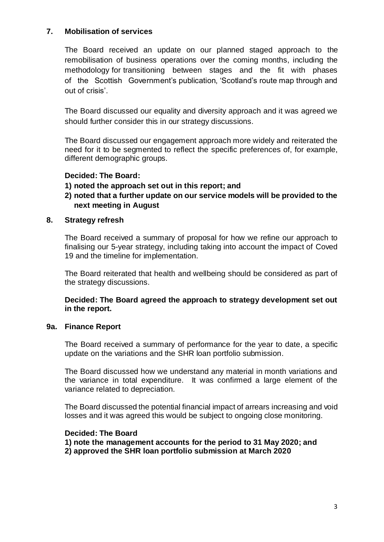### **7. Mobilisation of services**

The Board received an update on our planned staged approach to the remobilisation of business operations over the coming months, including the methodology for transitioning between stages and the fit with phases of the Scottish Government's publication, 'Scotland's route map through and out of crisis'.

The Board discussed our equality and diversity approach and it was agreed we should further consider this in our strategy discussions.

The Board discussed our engagement approach more widely and reiterated the need for it to be segmented to reflect the specific preferences of, for example, different demographic groups.

### **Decided: The Board:**

- **1) noted the approach set out in this report; and**
- **2) noted that a further update on our service models will be provided to the next meeting in August**

### **8. Strategy refresh**

The Board received a summary of proposal for how we refine our approach to finalising our 5-year strategy, including taking into account the impact of Coved 19 and the timeline for implementation.

The Board reiterated that health and wellbeing should be considered as part of the strategy discussions.

**Decided: The Board agreed the approach to strategy development set out in the report.**

### **9a. Finance Report**

The Board received a summary of performance for the year to date, a specific update on the variations and the SHR loan portfolio submission.

The Board discussed how we understand any material in month variations and the variance in total expenditure. It was confirmed a large element of the variance related to depreciation.

The Board discussed the potential financial impact of arrears increasing and void losses and it was agreed this would be subject to ongoing close monitoring.

### **Decided: The Board**

**1) note the management accounts for the period to 31 May 2020; and 2) approved the SHR loan portfolio submission at March 2020**